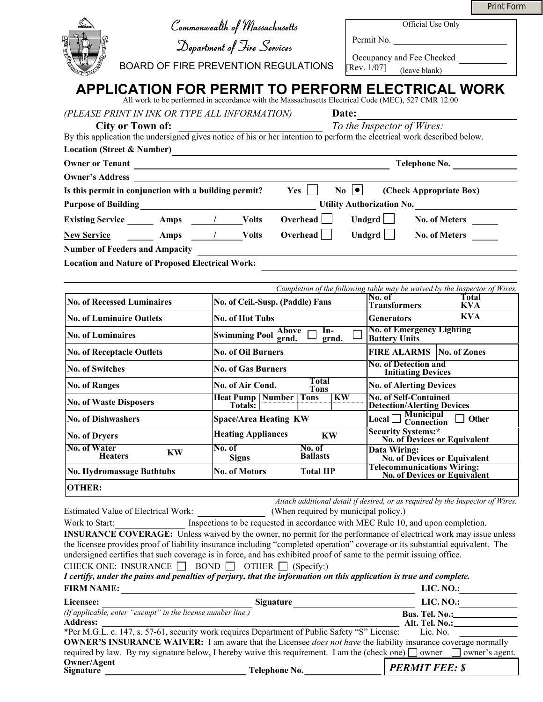|                                  |                                                             |                                                                                                                                                                                        |                                                                | <b>Print Form</b>                                                                                                                                                                                            |  |  |
|----------------------------------|-------------------------------------------------------------|----------------------------------------------------------------------------------------------------------------------------------------------------------------------------------------|----------------------------------------------------------------|--------------------------------------------------------------------------------------------------------------------------------------------------------------------------------------------------------------|--|--|
|                                  |                                                             | Commonwealth of Massachusetts                                                                                                                                                          |                                                                | Official Use Only                                                                                                                                                                                            |  |  |
|                                  |                                                             | Department of Fire Services                                                                                                                                                            |                                                                | Permit No.                                                                                                                                                                                                   |  |  |
|                                  |                                                             |                                                                                                                                                                                        |                                                                | Occupancy and Fee Checked                                                                                                                                                                                    |  |  |
|                                  |                                                             | <b>BOARD OF FIRE PREVENTION REGULATIONS</b>                                                                                                                                            |                                                                | $[Rev. 1/07]$ (leave blank)                                                                                                                                                                                  |  |  |
|                                  |                                                             | All work to be performed in accordance with the Massachusetts Electrical Code (MEC), 527 CMR 12.00                                                                                     |                                                                | APPLICATION FOR PERMIT TO PERFORM ELECTRICAL WORK                                                                                                                                                            |  |  |
|                                  |                                                             | (PLEASE PRINT IN INK OR TYPE ALL INFORMATION)                                                                                                                                          | Date:                                                          |                                                                                                                                                                                                              |  |  |
|                                  | <b>City or Town of:</b>                                     |                                                                                                                                                                                        |                                                                | To the Inspector of Wires:<br><b>City or Town of:</b> To the Inspector of Wires:<br>By this application the undersigned gives notice of his or her intention to perform the electrical work described below. |  |  |
|                                  |                                                             |                                                                                                                                                                                        |                                                                |                                                                                                                                                                                                              |  |  |
|                                  |                                                             |                                                                                                                                                                                        | Location (Street & Number)<br>Owner or Tenant<br>Telephone No. |                                                                                                                                                                                                              |  |  |
| <b>Owner's Address</b>           |                                                             |                                                                                                                                                                                        |                                                                |                                                                                                                                                                                                              |  |  |
|                                  | Is this permit in conjunction with a building permit?       | $Yes \t No \t $                                                                                                                                                                        |                                                                | (Check Appropriate Box)                                                                                                                                                                                      |  |  |
|                                  |                                                             |                                                                                                                                                                                        |                                                                | Purpose of Building<br><u>Durantic Delicity Authorization No.</u>                                                                                                                                            |  |  |
|                                  |                                                             | Existing Service ________ Amps _____/ _______Volts Overhead                                                                                                                            |                                                                | Undgrd $\Box$<br><b>No. of Meters</b>                                                                                                                                                                        |  |  |
| <b>New Service</b>               | Notes Amps / Volts                                          | Overhead                                                                                                                                                                               |                                                                | Undgrd No. of Meters                                                                                                                                                                                         |  |  |
|                                  | <b>Number of Feeders and Ampacity</b>                       |                                                                                                                                                                                        |                                                                |                                                                                                                                                                                                              |  |  |
|                                  | <b>Location and Nature of Proposed Electrical Work:</b>     |                                                                                                                                                                                        |                                                                |                                                                                                                                                                                                              |  |  |
|                                  |                                                             |                                                                                                                                                                                        |                                                                |                                                                                                                                                                                                              |  |  |
|                                  |                                                             |                                                                                                                                                                                        |                                                                | Completion of the following table may be waived by the Inspector of Wires.<br>No. of<br><b>Total</b>                                                                                                         |  |  |
|                                  | <b>No. of Recessed Luminaires</b>                           | No. of Ceil.-Susp. (Paddle) Fans                                                                                                                                                       |                                                                | <b>Transformers</b><br><b>KVA</b>                                                                                                                                                                            |  |  |
| <b>No. of Luminaire Outlets</b>  |                                                             | No. of Hot Tubs                                                                                                                                                                        |                                                                | <b>KVA</b><br><b>Generators</b><br><b>No. of Emergency Lighting</b>                                                                                                                                          |  |  |
| <b>No. of Luminaires</b>         |                                                             | <b>Swimming Pool Above</b> [<br>In-<br>grnd.                                                                                                                                           |                                                                | <b>Battery Units</b>                                                                                                                                                                                         |  |  |
| <b>No. of Receptacle Outlets</b> |                                                             | <b>No. of Oil Burners</b>                                                                                                                                                              |                                                                | <b>FIRE ALARMS   No. of Zones</b>                                                                                                                                                                            |  |  |
| <b>No. of Switches</b>           |                                                             | <b>No. of Gas Burners</b>                                                                                                                                                              |                                                                | <b>No. of Detection and</b><br><b>Initiating Devices</b>                                                                                                                                                     |  |  |
| <b>No. of Ranges</b>             |                                                             | <b>Total</b><br>No. of Air Cond.<br><b>Tons</b>                                                                                                                                        |                                                                | <b>No. of Alerting Devices</b>                                                                                                                                                                               |  |  |
| <b>No. of Waste Disposers</b>    |                                                             | <b>Heat Pump   Number   Tons</b><br>KW<br>Totals:                                                                                                                                      |                                                                | <b>No. of Self-Contained</b><br><b>Detection/Alerting Devices</b>                                                                                                                                            |  |  |
| <b>No. of Dishwashers</b>        |                                                             | <b>Space/Area Heating KW</b>                                                                                                                                                           |                                                                | <b>Municipal</b><br>Local<br>Other<br>Connection                                                                                                                                                             |  |  |
| <b>No. of Dryers</b>             |                                                             | <b>Heating Appliances</b><br><b>KW</b>                                                                                                                                                 |                                                                | <b>Security Systems:*</b>                                                                                                                                                                                    |  |  |
| <b>No. of Water</b>              |                                                             | No. of<br>No. of                                                                                                                                                                       |                                                                | No. of Devices or Equivalent<br>Data Wiring:                                                                                                                                                                 |  |  |
| <b>Heaters</b>                   | KW                                                          | <b>Ballasts</b><br><b>Signs</b>                                                                                                                                                        |                                                                | <b>No. of Devices or Equivalent</b><br>Telecommunications Wiring:                                                                                                                                            |  |  |
|                                  | <b>No. Hydromassage Bathtubs</b>                            | <b>No. of Motors</b><br><b>Total HP</b>                                                                                                                                                |                                                                | <b>No. of Devices or Equivalent</b>                                                                                                                                                                          |  |  |
| <b>OTHER:</b>                    |                                                             |                                                                                                                                                                                        |                                                                |                                                                                                                                                                                                              |  |  |
|                                  | Estimated Value of Electrical Work:                         | (When required by municipal policy.)                                                                                                                                                   |                                                                | Attach additional detail if desired, or as required by the Inspector of Wires.                                                                                                                               |  |  |
| Work to Start:                   |                                                             |                                                                                                                                                                                        |                                                                | Inspections to be requested in accordance with MEC Rule 10, and upon completion.                                                                                                                             |  |  |
|                                  |                                                             |                                                                                                                                                                                        |                                                                | <b>INSURANCE COVERAGE:</b> Unless waived by the owner, no permit for the performance of electrical work may issue unless                                                                                     |  |  |
|                                  |                                                             |                                                                                                                                                                                        |                                                                | the licensee provides proof of liability insurance including "completed operation" coverage or its substantial equivalent. The                                                                               |  |  |
|                                  |                                                             | undersigned certifies that such coverage is in force, and has exhibited proof of same to the permit issuing office.                                                                    |                                                                |                                                                                                                                                                                                              |  |  |
|                                  |                                                             | CHECK ONE: INSURANCE $\Box$ BOND $\Box$ OTHER $\Box$ (Specify:)<br>I certify, under the pains and penalties of perjury, that the information on this application is true and complete. |                                                                |                                                                                                                                                                                                              |  |  |
| <b>FIRM NAME:</b>                |                                                             |                                                                                                                                                                                        |                                                                | LIC. NO.: $\qquad \qquad$                                                                                                                                                                                    |  |  |
| Licensee:                        |                                                             | <u> 1989 - Johann Barbara, martxa alemaniar argumento este alemaniar alemaniar alemaniar alemaniar alemaniar al</u>                                                                    |                                                                | LIC. $NO.:$                                                                                                                                                                                                  |  |  |
|                                  | (If applicable, enter "exempt" in the license number line.) | Signature                                                                                                                                                                              |                                                                | <b>Bus. Tel. No.:</b> 1998                                                                                                                                                                                   |  |  |
| <b>Address:</b>                  |                                                             |                                                                                                                                                                                        |                                                                | Alt. Tel. No.:________________                                                                                                                                                                               |  |  |
|                                  |                                                             | *Per M.G.L. c. 147, s. 57-61, security work requires Department of Public Safety "S" License:                                                                                          |                                                                | Lic. No.<br><b>OWNER'S INSURANCE WAIVER:</b> I am aware that the Licensee does not have the liability insurance coverage normally                                                                            |  |  |
|                                  |                                                             |                                                                                                                                                                                        |                                                                | required by law. By my signature below, I hereby waive this requirement. I am the (check one) $\Box$ owner $\Box$ owner's agent.                                                                             |  |  |

| `elephone No. |  |  |  |  |  |  |
|---------------|--|--|--|--|--|--|
|---------------|--|--|--|--|--|--|

**Owner/Agent Signature Telephone No.** *PERMIT FEE: \$*